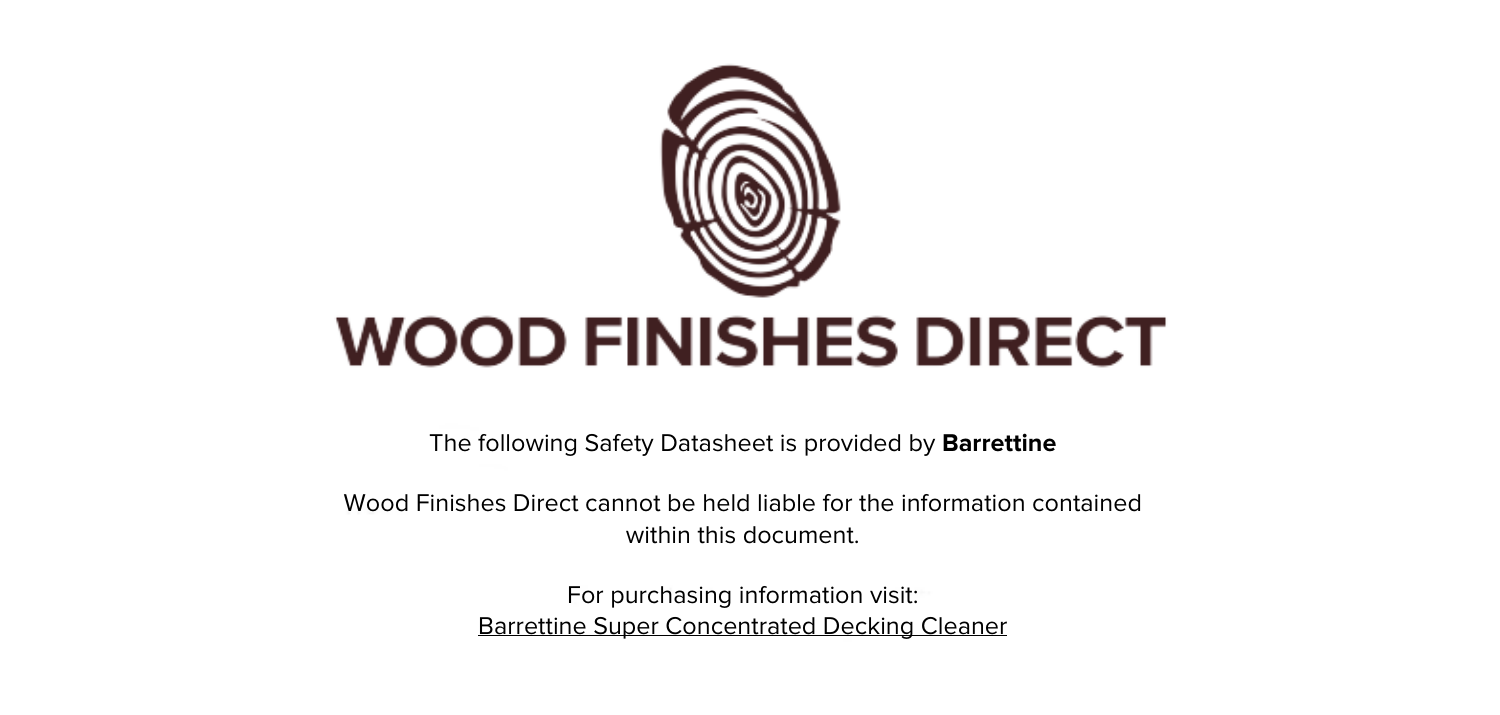

The following Safety Datasheet is provided by **Barrettine**

Wood Finishes Direct cannot be held liable for the information contained within this document.

> For purchasing information visit: [Barrettine Super Concentrated Decking Cleaner](https://www.wood-finishes-direct.com/product/barrettine-super-concentrated-decking-cleaner)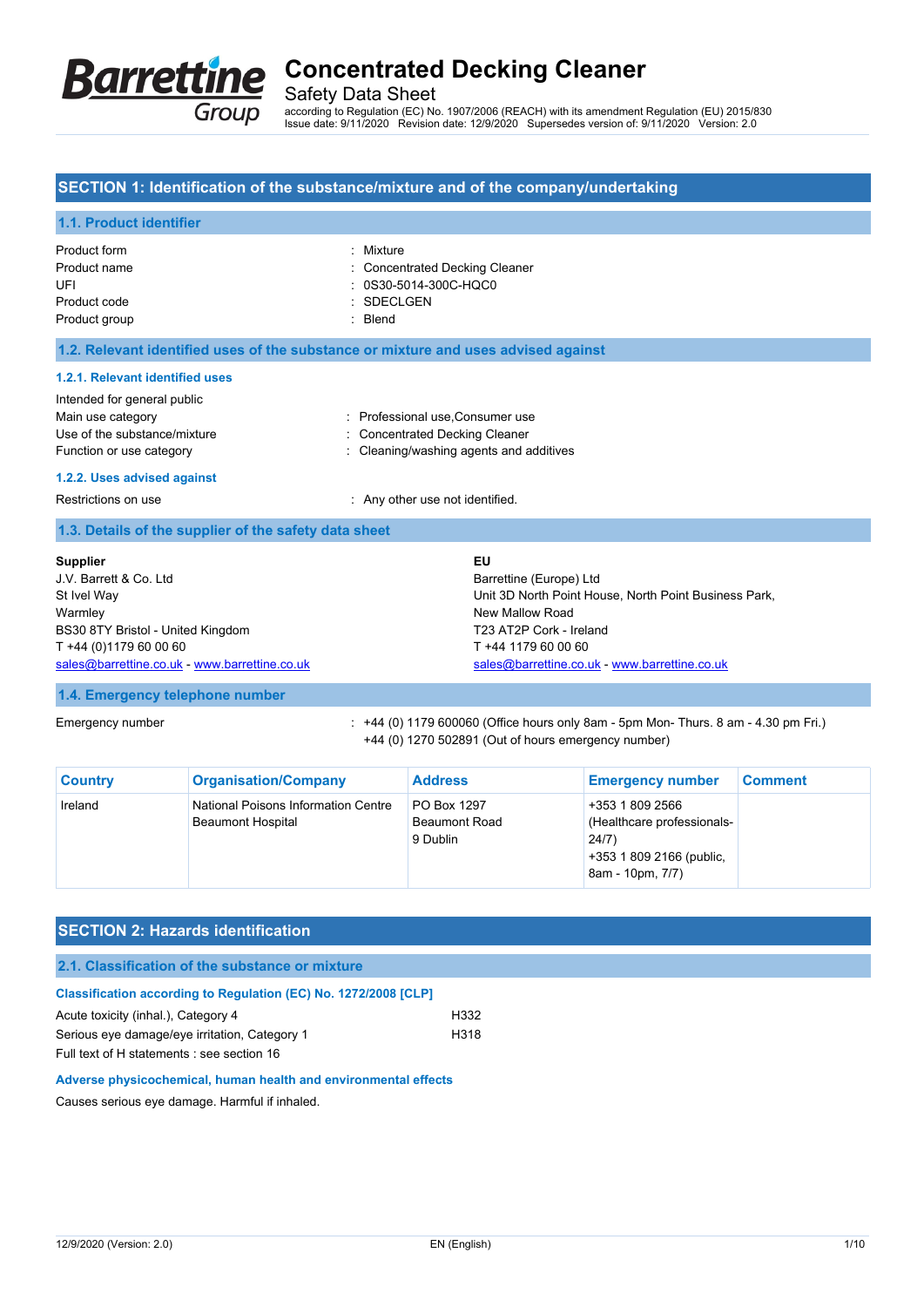

Safety Data Sheet

according to Regulation (EC) No. 1907/2006 (REACH) with its amendment Regulation (EU) 2015/830 Issue date: 9/11/2020 Revision date: 12/9/2020 Supersedes version of: 9/11/2020 Version: 2.0

## **SECTION 1: Identification of the substance/mixture and of the company/undertaking**

## **1.1. Product identifier**

| Product form  | : Mixture                      |
|---------------|--------------------------------|
| Product name  | : Concentrated Decking Cleaner |
| UFI           | : 0S30-5014-300C-HQC0          |
| Product code  | : SDECLGEN                     |
| Product group | $\therefore$ Blend             |
|               |                                |

**1.2. Relevant identified uses of the substance or mixture and uses advised against**

### **1.2.1. Relevant identified uses**

|  | Intended for general public |  |  |
|--|-----------------------------|--|--|
|  | Main use category           |  |  |
|  |                             |  |  |

: Professional use, Consumer use

- Use of the substance/mixture in the substance/mixture in the substance of the substance of the substance of the substance of the substance of the substance of the substance of the substance of the substance of the substanc
- Function or use category **Exercise 20** Function or use category **in the case of the Cleaning/washing agents and additives**

#### **1.2.2. Uses advised against**

Restrictions on use **EXECUTE:** Any other use not identified.

### **1.3. Details of the supplier of the safety data sheet**

| <b>Supplier</b>                               | EU                                                    |
|-----------------------------------------------|-------------------------------------------------------|
| J.V. Barrett & Co. Ltd                        | Barrettine (Europe) Ltd                               |
| St Ivel Way                                   | Unit 3D North Point House, North Point Business Park. |
| Warmley                                       | New Mallow Road                                       |
| BS30 8TY Bristol - United Kingdom             | T23 AT2P Cork - Ireland                               |
| T +44 (0)1179 60 00 60                        | T +44 1179 60 00 60                                   |
| sales@barrettine.co.uk - www.barrettine.co.uk | sales@barrettine.co.uk - www.barrettine.co.uk         |
|                                               |                                                       |

### **1.4. Emergency telephone number**

Emergency number : +44 (0) 1179 600060 (Office hours only 8am - 5pm Mon- Thurs. 8 am - 4.30 pm Fri.) +44 (0) 1270 502891 (Out of hours emergency number)

| <b>Country</b> | <b>Organisation/Company</b>                                     | <b>Address</b>                                         | <b>Emergency number</b>                                                                                | <b>Comment</b> |
|----------------|-----------------------------------------------------------------|--------------------------------------------------------|--------------------------------------------------------------------------------------------------------|----------------|
| Ireland        | National Poisons Information Centre<br><b>Beaumont Hospital</b> | <b>PO Box 1297</b><br><b>Beaumont Road</b><br>9 Dublin | +353 1 809 2566<br>(Healthcare professionals-<br>24/7)<br>+353 1 809 2166 (public,<br>8am - 10pm, 7/7) |                |

## **SECTION 2: Hazards identification**

### **2.1. Classification of the substance or mixture**

| <b>Classification according to Regulation (EC) No. 1272/2008 [CLP]</b> |      |
|------------------------------------------------------------------------|------|
| Acute toxicity (inhal.). Category 4                                    | H332 |
| Serious eye damage/eye irritation, Category 1                          | H318 |
| Full text of H statements : see section 16                             |      |

### **Adverse physicochemical, human health and environmental effects**

Causes serious eye damage. Harmful if inhaled.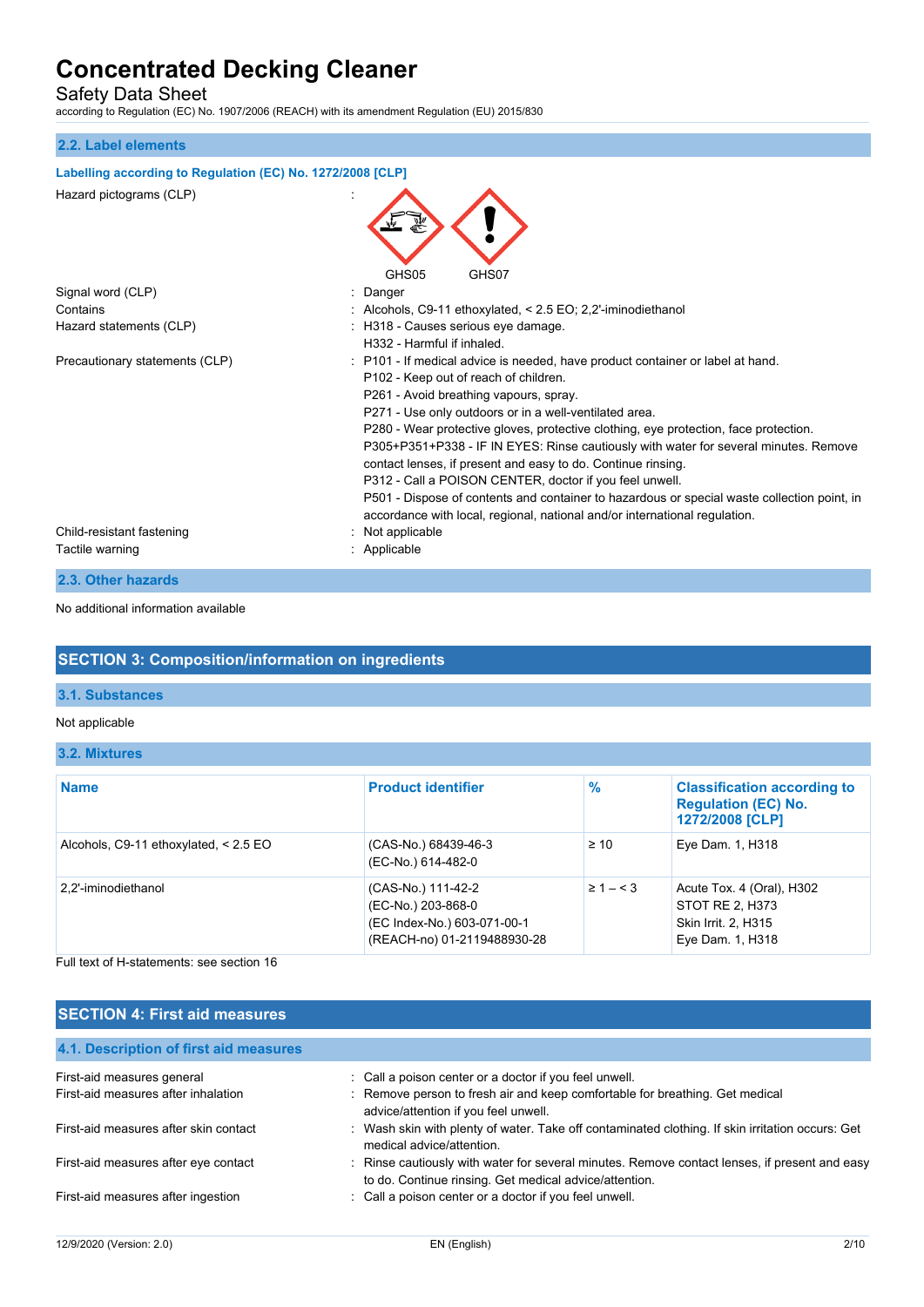Safety Data Sheet

according to Regulation (EC) No. 1907/2006 (REACH) with its amendment Regulation (EU) 2015/830

## **2.2. Label elements**

| Labelling according to Regulation (EC) No. 1272/2008 [CLP] |                                                                                                                                                                                                                                                                                                                                                                                                                                                                                                                                                                                                                                                                                                                     |
|------------------------------------------------------------|---------------------------------------------------------------------------------------------------------------------------------------------------------------------------------------------------------------------------------------------------------------------------------------------------------------------------------------------------------------------------------------------------------------------------------------------------------------------------------------------------------------------------------------------------------------------------------------------------------------------------------------------------------------------------------------------------------------------|
| Hazard pictograms (CLP)                                    | GHS05<br>GHS07                                                                                                                                                                                                                                                                                                                                                                                                                                                                                                                                                                                                                                                                                                      |
| Signal word (CLP)                                          | Danger                                                                                                                                                                                                                                                                                                                                                                                                                                                                                                                                                                                                                                                                                                              |
| Contains                                                   | Alcohols, C9-11 ethoxylated, < 2.5 EO; 2,2'-iminodiethanol                                                                                                                                                                                                                                                                                                                                                                                                                                                                                                                                                                                                                                                          |
| Hazard statements (CLP)                                    | H318 - Causes serious eye damage.<br>H332 - Harmful if inhaled.                                                                                                                                                                                                                                                                                                                                                                                                                                                                                                                                                                                                                                                     |
| Precautionary statements (CLP)                             | : P101 - If medical advice is needed, have product container or label at hand.<br>P102 - Keep out of reach of children.<br>P261 - Avoid breathing vapours, spray.<br>P271 - Use only outdoors or in a well-ventilated area.<br>P280 - Wear protective gloves, protective clothing, eye protection, face protection.<br>P305+P351+P338 - IF IN EYES: Rinse cautiously with water for several minutes. Remove<br>contact lenses, if present and easy to do. Continue rinsing.<br>P312 - Call a POISON CENTER, doctor if you feel unwell.<br>P501 - Dispose of contents and container to hazardous or special waste collection point, in<br>accordance with local, regional, national and/or international regulation. |
| Child-resistant fastening                                  | Not applicable                                                                                                                                                                                                                                                                                                                                                                                                                                                                                                                                                                                                                                                                                                      |
| Tactile warning                                            | Applicable                                                                                                                                                                                                                                                                                                                                                                                                                                                                                                                                                                                                                                                                                                          |

**2.3. Other hazards**

No additional information available

# **SECTION 3: Composition/information on ingredients**

## **3.1. Substances**

### Not applicable

### **3.2. Mixtures**

| <b>Name</b>                           | <b>Product identifier</b>                                                                              | $\%$         | <b>Classification according to</b><br><b>Regulation (EC) No.</b><br>1272/2008 [CLP]     |
|---------------------------------------|--------------------------------------------------------------------------------------------------------|--------------|-----------------------------------------------------------------------------------------|
| Alcohols, C9-11 ethoxylated, < 2.5 EO | (CAS-No.) 68439-46-3<br>(EC-No.) 614-482-0                                                             | $\geq 10$    | Eye Dam. 1, H318                                                                        |
| 2.2'-iminodiethanol                   | (CAS-No.) 111-42-2<br>(EC-No.) 203-868-0<br>(EC Index-No.) 603-071-00-1<br>(REACH-no) 01-2119488930-28 | $\geq 1 - 3$ | Acute Tox. 4 (Oral), H302<br>STOT RE 2, H373<br>Skin Irrit. 2, H315<br>Eye Dam. 1, H318 |

Full text of H-statements: see section 16

| <b>SECTION 4: First aid measures</b>   |                                                                                                                                                         |
|----------------------------------------|---------------------------------------------------------------------------------------------------------------------------------------------------------|
| 4.1. Description of first aid measures |                                                                                                                                                         |
| First-aid measures general             | : Call a poison center or a doctor if you feel unwell.                                                                                                  |
| First-aid measures after inhalation    | : Remove person to fresh air and keep comfortable for breathing. Get medical<br>advice/attention if you feel unwell.                                    |
| First-aid measures after skin contact  | Wash skin with plenty of water. Take off contaminated clothing. If skin irritation occurs: Get<br>medical advice/attention.                             |
| First-aid measures after eye contact   | : Rinse cautiously with water for several minutes. Remove contact lenses, if present and easy<br>to do. Continue rinsing. Get medical advice/attention. |
| First-aid measures after ingestion     | : Call a poison center or a doctor if you feel unwell.                                                                                                  |
|                                        |                                                                                                                                                         |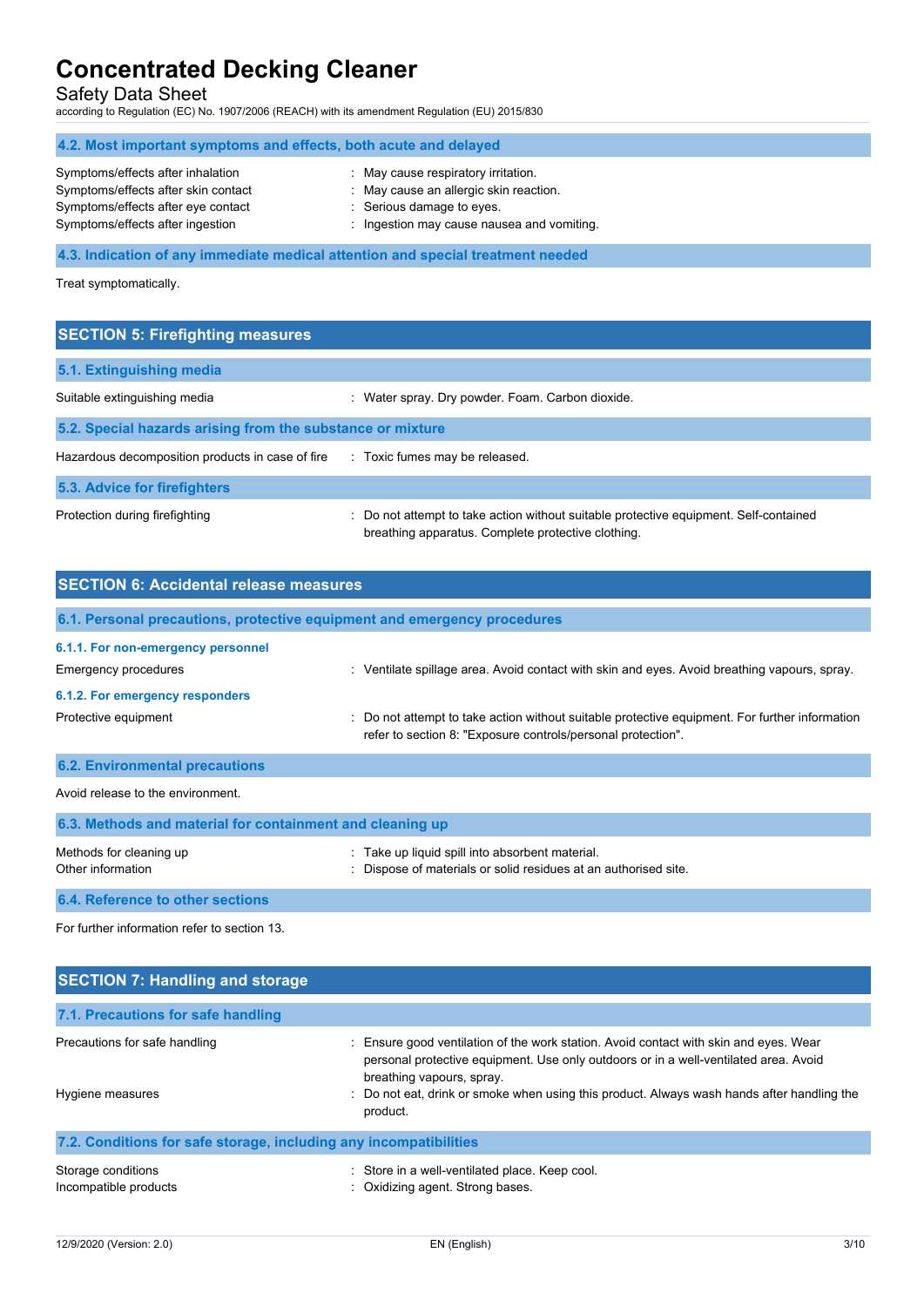Safety Data Sheet

according to Regulation (EC) No. 1907/2006 (REACH) with its amendment Regulation (EU) 2015/830

| 4.2. Most important symptoms and effects, both acute and delayed                                                                                   |                                                                                                                                                          |  |
|----------------------------------------------------------------------------------------------------------------------------------------------------|----------------------------------------------------------------------------------------------------------------------------------------------------------|--|
| Symptoms/effects after inhalation<br>Symptoms/effects after skin contact<br>Symptoms/effects after eye contact<br>Symptoms/effects after ingestion | : May cause respiratory irritation.<br>: May cause an allergic skin reaction.<br>: Serious damage to eyes.<br>: Ingestion may cause nausea and vomiting. |  |
|                                                                                                                                                    | 4.3. Indication of any immediate medical attention and special treatment needed                                                                          |  |

Treat symptomatically.

| <b>SECTION 5: Firefighting measures</b>                    |                                                                                                                                             |  |
|------------------------------------------------------------|---------------------------------------------------------------------------------------------------------------------------------------------|--|
| 5.1. Extinguishing media                                   |                                                                                                                                             |  |
| Suitable extinguishing media                               | : Water spray. Dry powder. Foam. Carbon dioxide.                                                                                            |  |
| 5.2. Special hazards arising from the substance or mixture |                                                                                                                                             |  |
| Hazardous decomposition products in case of fire           | : Toxic fumes may be released.                                                                                                              |  |
| 5.3. Advice for firefighters                               |                                                                                                                                             |  |
| Protection during firefighting                             | : Do not attempt to take action without suitable protective equipment. Self-contained<br>breathing apparatus. Complete protective clothing. |  |

| <b>SECTION 6: Accidental release measures</b>                            |                                                                                                                                                                |  |
|--------------------------------------------------------------------------|----------------------------------------------------------------------------------------------------------------------------------------------------------------|--|
| 6.1. Personal precautions, protective equipment and emergency procedures |                                                                                                                                                                |  |
| 6.1.1. For non-emergency personnel<br><b>Emergency procedures</b>        | : Ventilate spillage area. Avoid contact with skin and eyes. Avoid breathing vapours, spray.                                                                   |  |
| 6.1.2. For emergency responders                                          |                                                                                                                                                                |  |
| Protective equipment                                                     | : Do not attempt to take action without suitable protective equipment. For further information<br>refer to section 8: "Exposure controls/personal protection". |  |
| <b>6.2. Environmental precautions</b>                                    |                                                                                                                                                                |  |
| Avoid release to the environment                                         |                                                                                                                                                                |  |

| 6.3. Methods and material for containment and cleaning up |                                                                                                                  |
|-----------------------------------------------------------|------------------------------------------------------------------------------------------------------------------|
| Methods for cleaning up<br>Other information              | Take up liquid spill into absorbent material.<br>: Dispose of materials or solid residues at an authorised site. |
| 6.4. Reference to other sections                          |                                                                                                                  |

For further information refer to section 13.

| <b>SECTION 7: Handling and storage</b>                            |                                                                                                                                                                                                          |  |  |
|-------------------------------------------------------------------|----------------------------------------------------------------------------------------------------------------------------------------------------------------------------------------------------------|--|--|
| 7.1. Precautions for safe handling                                |                                                                                                                                                                                                          |  |  |
| Precautions for safe handling                                     | Ensure good ventilation of the work station. Avoid contact with skin and eyes. Wear<br>personal protective equipment. Use only outdoors or in a well-ventilated area. Avoid<br>breathing vapours, spray. |  |  |
| Hygiene measures                                                  | Do not eat, drink or smoke when using this product. Always wash hands after handling the<br>product.                                                                                                     |  |  |
| 7.2. Conditions for safe storage, including any incompatibilities |                                                                                                                                                                                                          |  |  |
| Storage conditions<br>Incompatible products                       | Store in a well-ventilated place. Keep cool.<br>: Oxidizing agent. Strong bases.                                                                                                                         |  |  |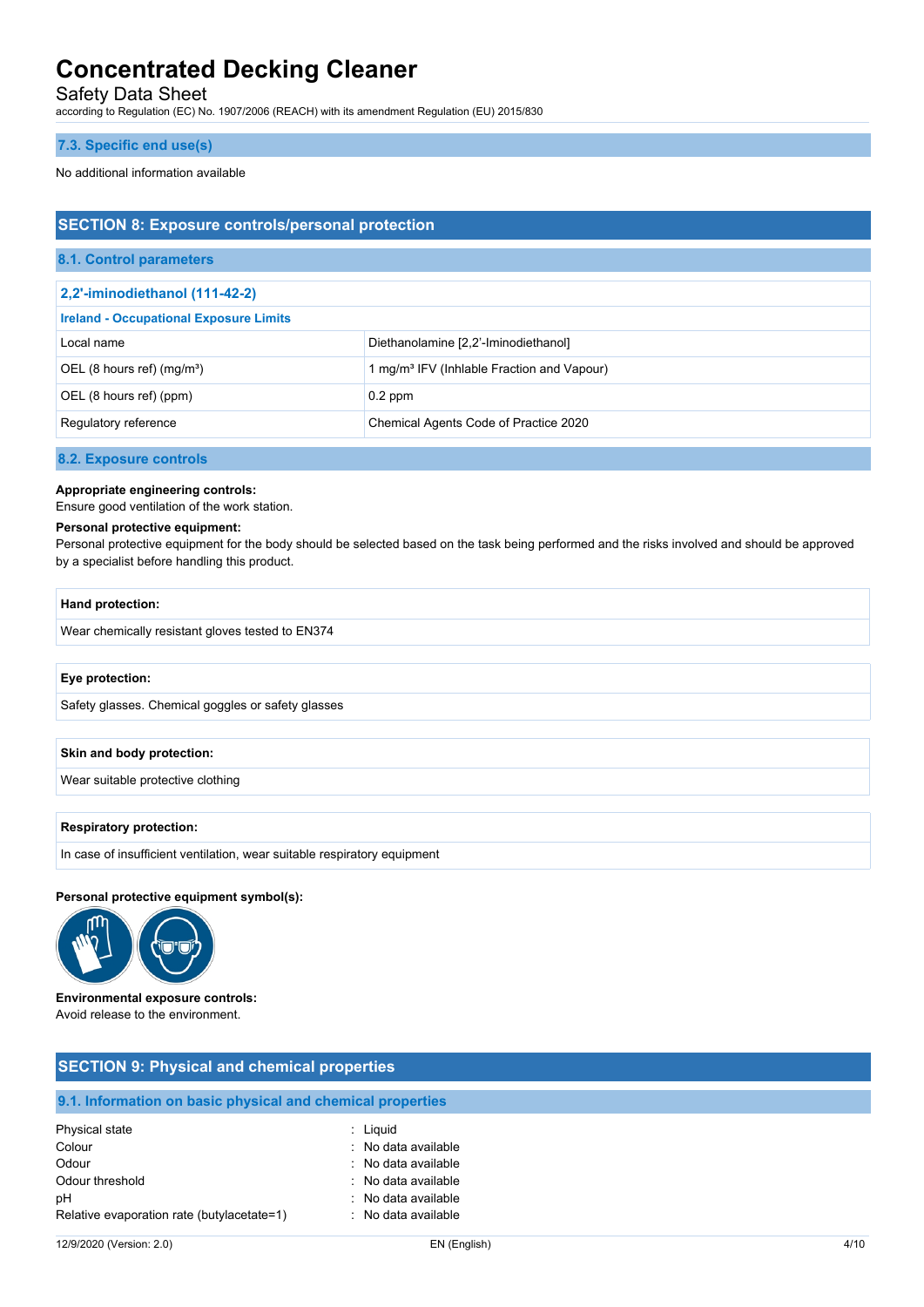Safety Data Sheet

according to Regulation (EC) No. 1907/2006 (REACH) with its amendment Regulation (EU) 2015/830

### **7.3. Specific end use(s)**

No additional information available

# **SECTION 8: Exposure controls/personal protection**

## **8.1. Control parameters**

| 2,2'-iminodiethanol (111-42-2)                |                                                        |  |
|-----------------------------------------------|--------------------------------------------------------|--|
| <b>Ireland - Occupational Exposure Limits</b> |                                                        |  |
| Local name                                    | Diethanolamine [2,2'-Iminodiethanol]                   |  |
| OEL (8 hours ref) (mg/m <sup>3</sup> )        | 1 mg/m <sup>3</sup> IFV (Inhlable Fraction and Vapour) |  |
| OEL (8 hours ref) (ppm)                       | $0.2$ ppm                                              |  |
| Regulatory reference                          | Chemical Agents Code of Practice 2020                  |  |

### **8.2. Exposure controls**

**Appropriate engineering controls:**

Ensure good ventilation of the work station.

### **Personal protective equipment:**

Personal protective equipment for the body should be selected based on the task being performed and the risks involved and should be approved by a specialist before handling this product.

### **Hand protection:**

Wear chemically resistant gloves tested to EN374

### **Eye protection:**

Safety glasses. Chemical goggles or safety glasses

### **Skin and body protection:**

Wear suitable protective clothing

### **Respiratory protection:**

In case of insufficient ventilation, wear suitable respiratory equipment

### **Personal protective equipment symbol(s):**



**Environmental exposure controls:** Avoid release to the environment.

# **SECTION 9: Physical and chemical properties**

## **9.1. Information on basic physical and chemical properties**

| Physical state                             | : Liguid            |
|--------------------------------------------|---------------------|
| Colour                                     | : No data available |
| Odour                                      | : No data available |
| Odour threshold                            | : No data available |
| рH                                         | : No data available |
| Relative evaporation rate (butylacetate=1) | : No data available |
|                                            |                     |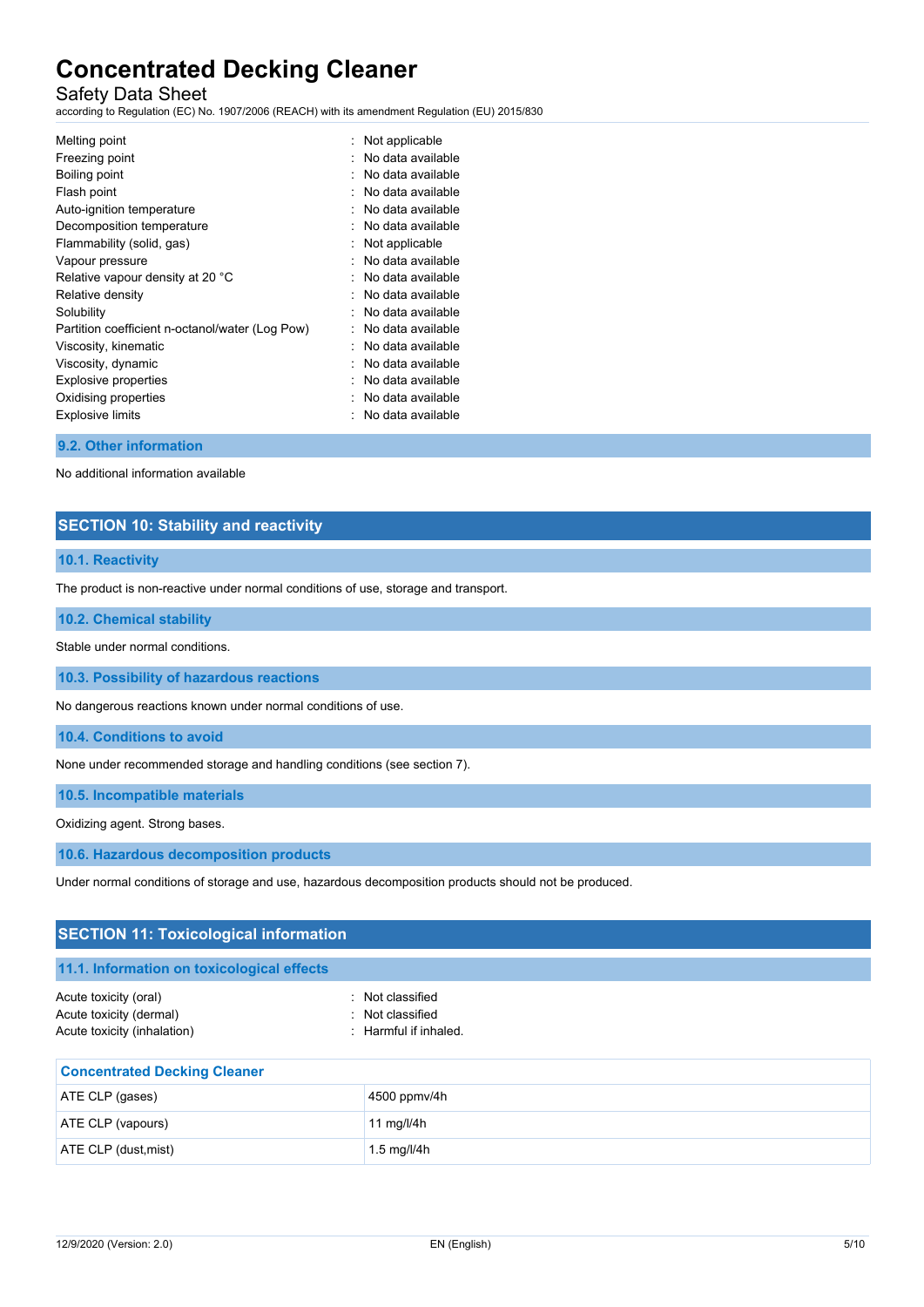# Safety Data Sheet

according to Regulation (EC) No. 1907/2006 (REACH) with its amendment Regulation (EU) 2015/830

| Melting point                                   | : Not applicable    |
|-------------------------------------------------|---------------------|
| Freezing point                                  | No data available   |
| Boiling point                                   | No data available   |
| Flash point                                     | No data available   |
| Auto-ignition temperature                       | No data available   |
| Decomposition temperature                       | No data available   |
| Flammability (solid, gas)                       | Not applicable      |
| Vapour pressure                                 | No data available   |
| Relative vapour density at 20 °C                | No data available   |
| Relative density                                | No data available   |
| Solubility                                      | : No data available |
| Partition coefficient n-octanol/water (Log Pow) | No data available   |
| Viscosity, kinematic                            | No data available   |
| Viscosity, dynamic                              | No data available   |
| Explosive properties                            | No data available   |
| Oxidising properties                            | No data available   |
| <b>Explosive limits</b>                         | No data available   |
|                                                 |                     |

### **9.2. Other information**

No additional information available

# **SECTION 10: Stability and reactivity**

### **10.1. Reactivity**

The product is non-reactive under normal conditions of use, storage and transport.

### **10.2. Chemical stability**

Stable under normal conditions.

**10.3. Possibility of hazardous reactions**

No dangerous reactions known under normal conditions of use.

**10.4. Conditions to avoid**

None under recommended storage and handling conditions (see section 7).

**10.5. Incompatible materials**

Oxidizing agent. Strong bases.

**10.6. Hazardous decomposition products**

Under normal conditions of storage and use, hazardous decomposition products should not be produced.

| <b>SECTION 11: Toxicological information</b>                                    |                                                               |  |  |
|---------------------------------------------------------------------------------|---------------------------------------------------------------|--|--|
| 11.1. Information on toxicological effects                                      |                                                               |  |  |
| Acute toxicity (oral)<br>Acute toxicity (dermal)<br>Acute toxicity (inhalation) | : Not classified<br>: Not classified<br>: Harmful if inhaled. |  |  |
| <b>Concentrated Decking Cleaner</b>                                             |                                                               |  |  |
| ATE CLP (gases)                                                                 | 4500 ppmv/4h                                                  |  |  |
| ATE CLP (vapours)                                                               | 11 mg/l/4 $h$                                                 |  |  |
| ATE CLP (dust, mist)                                                            | 1.5 mg/l/4h                                                   |  |  |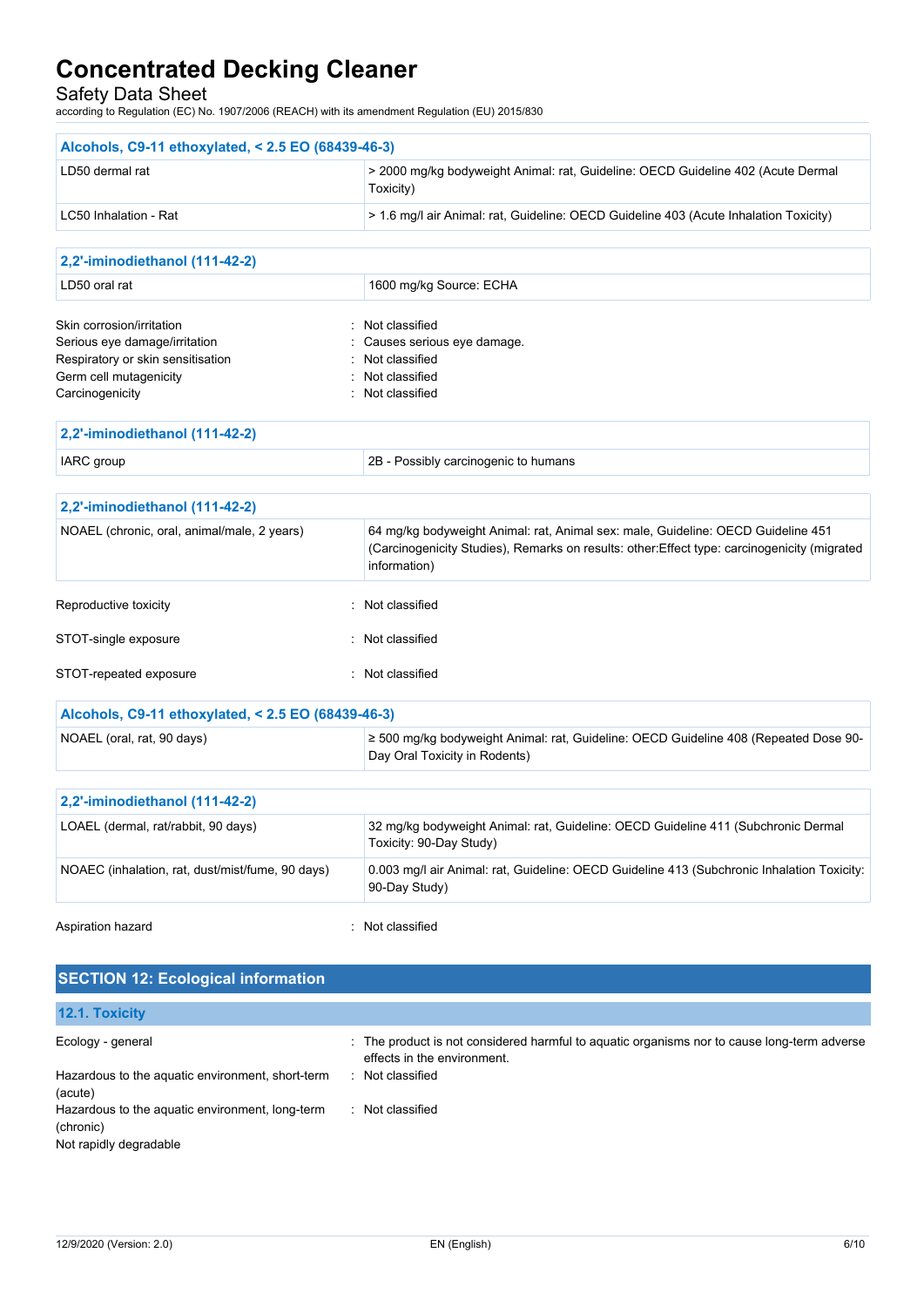Safety Data Sheet

according to Regulation (EC) No. 1907/2006 (REACH) with its amendment Regulation (EU) 2015/830

| Alcohols, C9-11 ethoxylated, < 2.5 EO (68439-46-3)         |                                                                                                                          |
|------------------------------------------------------------|--------------------------------------------------------------------------------------------------------------------------|
| LD50 dermal rat                                            | > 2000 mg/kg bodyweight Animal: rat, Guideline: OECD Guideline 402 (Acute Dermal<br>Toxicity)                            |
| LC50 Inhalation - Rat                                      | > 1.6 mg/l air Animal: rat, Guideline: OECD Guideline 403 (Acute Inhalation Toxicity)                                    |
|                                                            |                                                                                                                          |
| 2,2'-iminodiethanol (111-42-2)                             |                                                                                                                          |
| LD50 oral rat                                              | 1600 mg/kg Source: ECHA                                                                                                  |
| Skin corrosion/irritation                                  | Not classified                                                                                                           |
| Serious eye damage/irritation                              | Causes serious eye damage.                                                                                               |
| Respiratory or skin sensitisation                          | Not classified<br>Not classified                                                                                         |
| Germ cell mutagenicity<br>Carcinogenicity                  | : Not classified                                                                                                         |
| 2,2'-iminodiethanol (111-42-2)                             |                                                                                                                          |
| IARC group                                                 | 2B - Possibly carcinogenic to humans                                                                                     |
| 2,2'-iminodiethanol (111-42-2)                             |                                                                                                                          |
| NOAEL (chronic, oral, animal/male, 2 years)                | 64 mg/kg bodyweight Animal: rat, Animal sex: male, Guideline: OECD Guideline 451                                         |
|                                                            | (Carcinogenicity Studies), Remarks on results: other: Effect type: carcinogenicity (migrated<br>information)             |
| Reproductive toxicity                                      | : Not classified                                                                                                         |
| STOT-single exposure                                       | : Not classified                                                                                                         |
| STOT-repeated exposure                                     | : Not classified                                                                                                         |
| Alcohols, C9-11 ethoxylated, < 2.5 EO (68439-46-3)         |                                                                                                                          |
| NOAEL (oral, rat, 90 days)                                 | ≥ 500 mg/kg bodyweight Animal: rat, Guideline: OECD Guideline 408 (Repeated Dose 90-<br>Day Oral Toxicity in Rodents)    |
| 2,2'-iminodiethanol (111-42-2)                             |                                                                                                                          |
| LOAEL (dermal, rat/rabbit, 90 days)                        | 32 mg/kg bodyweight Animal: rat, Guideline: OECD Guideline 411 (Subchronic Dermal<br>Toxicity: 90-Day Study)             |
| NOAEC (inhalation, rat, dust/mist/fume, 90 days)           | 0.003 mg/l air Animal: rat, Guideline: OECD Guideline 413 (Subchronic Inhalation Toxicity:<br>90-Day Study)              |
| Aspiration hazard                                          | Not classified                                                                                                           |
| <b>SECTION 12: Ecological information</b>                  |                                                                                                                          |
| 12.1. Toxicity                                             |                                                                                                                          |
| Ecology - general                                          | The product is not considered harmful to aquatic organisms nor to cause long-term adverse<br>effects in the environment. |
| Hazardous to the aquatic environment, short-term           | : Not classified                                                                                                         |
| (acute)<br>Hazardous to the aquatic environment, long-term | : Not classified                                                                                                         |
| (chronic)<br>Not rapidly degradable                        |                                                                                                                          |
|                                                            |                                                                                                                          |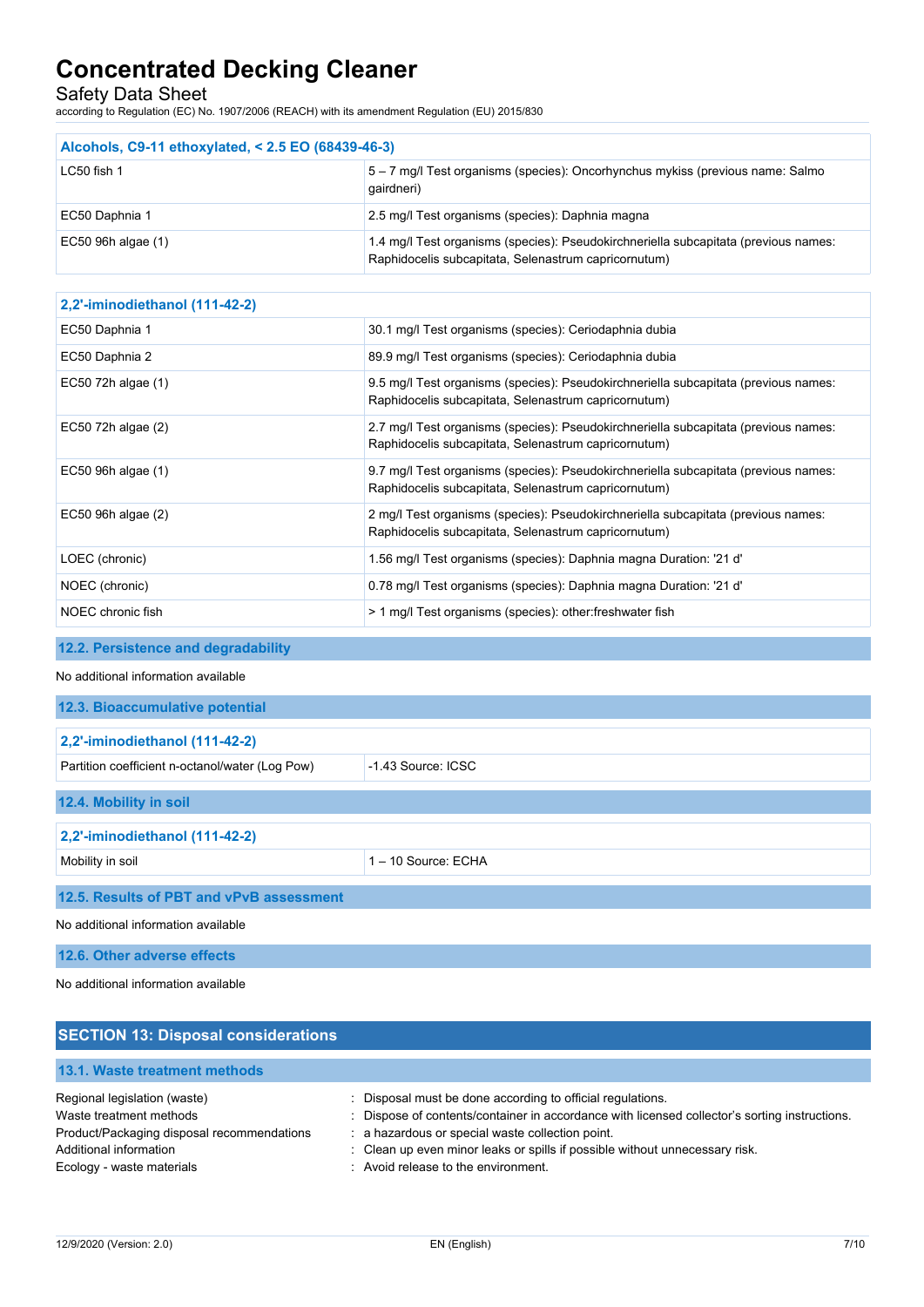Safety Data Sheet

according to Regulation (EC) No. 1907/2006 (REACH) with its amendment Regulation (EU) 2015/830

| Alcohols, C9-11 ethoxylated, < 2.5 EO (68439-46-3) |                                                                                                                                             |  |
|----------------------------------------------------|---------------------------------------------------------------------------------------------------------------------------------------------|--|
| LC50 fish 1                                        | 5 - 7 mg/l Test organisms (species): Oncorhynchus mykiss (previous name: Salmo<br>qairdneri)                                                |  |
| EC50 Daphnia 1                                     | 2.5 mg/l Test organisms (species): Daphnia magna                                                                                            |  |
| EC50 96h algae (1)                                 | 1.4 mg/l Test organisms (species): Pseudokirchneriella subcapitata (previous names:<br>Raphidocelis subcapitata, Selenastrum capricornutum) |  |

| 2,2'-iminodiethanol (111-42-2) |                                                                                                                                             |
|--------------------------------|---------------------------------------------------------------------------------------------------------------------------------------------|
| EC50 Daphnia 1                 | 30.1 mg/l Test organisms (species): Ceriodaphnia dubia                                                                                      |
| EC50 Daphnia 2                 | 89.9 mg/l Test organisms (species): Ceriodaphnia dubia                                                                                      |
| EC50 72h algae (1)             | 9.5 mg/l Test organisms (species): Pseudokirchneriella subcapitata (previous names:<br>Raphidocelis subcapitata, Selenastrum capricornutum) |
| $EC50$ 72h algae $(2)$         | 2.7 mg/l Test organisms (species): Pseudokirchneriella subcapitata (previous names:<br>Raphidocelis subcapitata, Selenastrum capricornutum) |
| EC50 96h algae (1)             | 9.7 mg/l Test organisms (species): Pseudokirchneriella subcapitata (previous names:<br>Raphidocelis subcapitata, Selenastrum capricornutum) |
| $EC50$ 96h algae $(2)$         | 2 mg/l Test organisms (species): Pseudokirchneriella subcapitata (previous names:<br>Raphidocelis subcapitata, Selenastrum capricornutum)   |
| LOEC (chronic)                 | 1.56 mg/l Test organisms (species): Daphnia magna Duration: '21 d'                                                                          |
| NOEC (chronic)                 | 0.78 mg/l Test organisms (species): Daphnia magna Duration: '21 d'                                                                          |
| NOEC chronic fish              | > 1 mg/l Test organisms (species): other: freshwater fish                                                                                   |

# **12.2. Persistence and degradability**

### No additional information available

| 12.3. Bioaccumulative potential                                         |                   |  |
|-------------------------------------------------------------------------|-------------------|--|
| 2,2'-iminodiethanol (111-42-2)                                          |                   |  |
| $-1$ 43 Source: ICSC<br>Partition coefficient n-octanol/water (Log Pow) |                   |  |
| 12.4. Mobility in soil                                                  |                   |  |
| 2,2'-iminodiethanol (111-42-2)                                          |                   |  |
| Mobility in soil                                                        | 1-10 Source: ECHA |  |
| 12.5. Results of PBT and vPvB assessment                                |                   |  |

No additional information available

**12.6. Other adverse effects**

No additional information available

| <b>SECTION 13: Disposal considerations</b>                                                                                                                   |                                                                                                                                                                                                                                                                                                                                       |
|--------------------------------------------------------------------------------------------------------------------------------------------------------------|---------------------------------------------------------------------------------------------------------------------------------------------------------------------------------------------------------------------------------------------------------------------------------------------------------------------------------------|
| 13.1. Waste treatment methods                                                                                                                                |                                                                                                                                                                                                                                                                                                                                       |
| Regional legislation (waste)<br>Waste treatment methods<br>Product/Packaging disposal recommendations<br>Additional information<br>Ecology - waste materials | : Disposal must be done according to official regulations.<br>: Dispose of contents/container in accordance with licensed collector's sorting instructions.<br>: a hazardous or special waste collection point.<br>: Clean up even minor leaks or spills if possible without unnecessary risk.<br>: Avoid release to the environment. |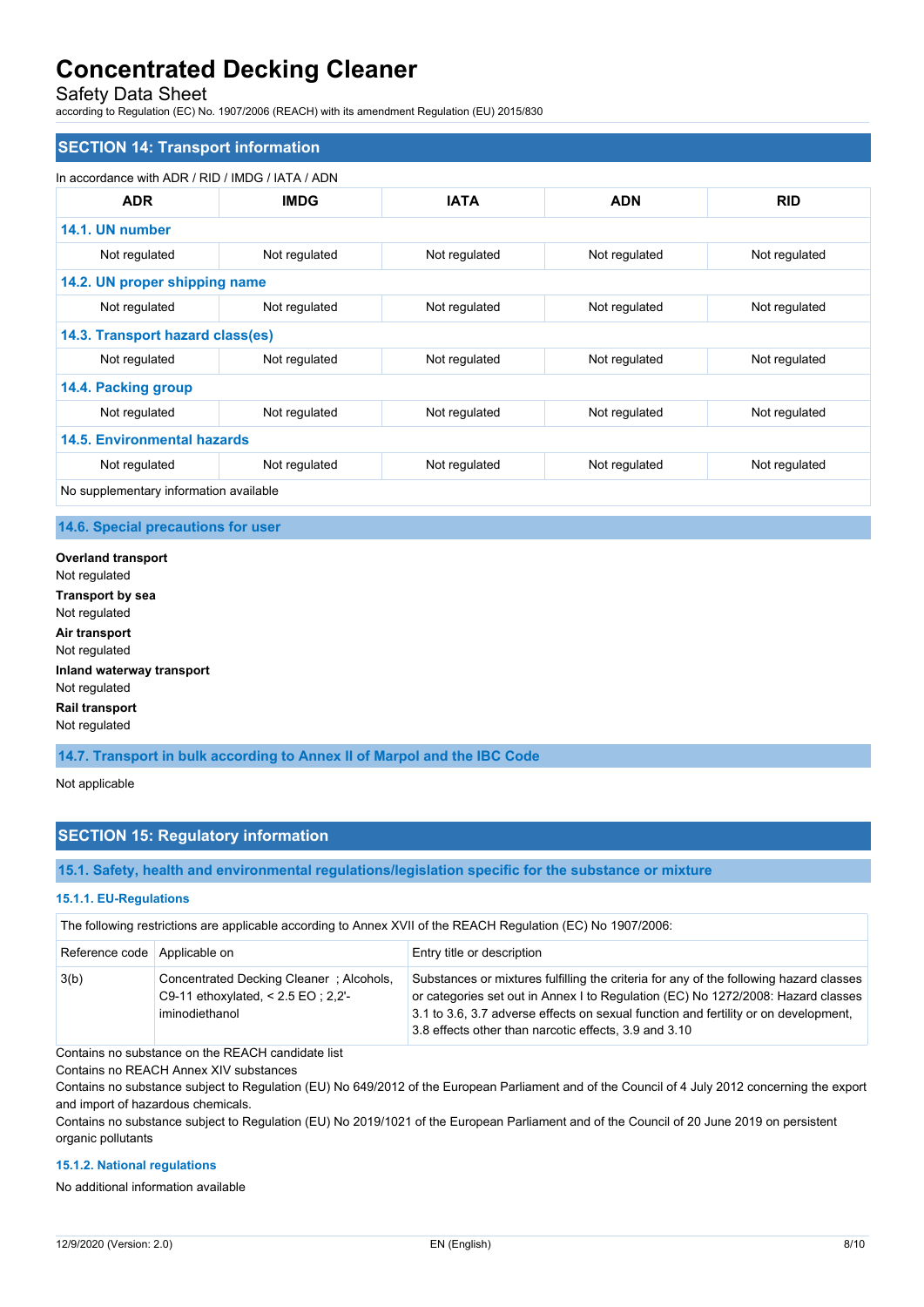## Safety Data Sheet

according to Regulation (EC) No. 1907/2006 (REACH) with its amendment Regulation (EU) 2015/830

| In accordance with ADR / RID / IMDG / IATA / ADN |               |               |               |               |
|--------------------------------------------------|---------------|---------------|---------------|---------------|
| <b>ADR</b>                                       | <b>IMDG</b>   | <b>IATA</b>   | <b>ADN</b>    | <b>RID</b>    |
| 14.1. UN number                                  |               |               |               |               |
| Not regulated                                    | Not regulated | Not regulated | Not regulated | Not regulated |
| 14.2. UN proper shipping name                    |               |               |               |               |
| Not regulated                                    | Not regulated | Not regulated | Not regulated | Not regulated |
| 14.3. Transport hazard class(es)                 |               |               |               |               |
| Not regulated                                    | Not regulated | Not regulated | Not regulated | Not regulated |
| 14.4. Packing group                              |               |               |               |               |
| Not regulated                                    | Not regulated | Not regulated | Not regulated | Not regulated |
| 14.5. Environmental hazards                      |               |               |               |               |
| Not regulated                                    | Not regulated | Not regulated | Not regulated | Not regulated |

## **14.6. Special precautions for user**

**Overland transport** Not regulated **Transport by sea** Not regulated **Air transport** Not regulated **Inland waterway transport** Not regulated **Rail transport** Not regulated

**14.7. Transport in bulk according to Annex II of Marpol and the IBC Code**

Not applicable

# **SECTION 15: Regulatory information**

**15.1. Safety, health and environmental regulations/legislation specific for the substance or mixture**

### **15.1.1. EU-Regulations**

The following restrictions are applicable according to Annex XVII of the REACH Regulation (EC) No 1907/2006:

| Reference code   Applicable on |                                                                                                     | Entry title or description                                                                                                                                                                                                                                                                                                 |
|--------------------------------|-----------------------------------------------------------------------------------------------------|----------------------------------------------------------------------------------------------------------------------------------------------------------------------------------------------------------------------------------------------------------------------------------------------------------------------------|
| 3(b)                           | Concentrated Decking Cleaner ; Alcohols,<br>C9-11 ethoxylated, $< 2.5$ EO ; 2.2'-<br>iminodiethanol | Substances or mixtures fulfilling the criteria for any of the following hazard classes<br>or categories set out in Annex I to Regulation (EC) No 1272/2008: Hazard classes<br>3.1 to 3.6, 3.7 adverse effects on sexual function and fertility or on development,<br>3.8 effects other than narcotic effects, 3.9 and 3.10 |

Contains no substance on the REACH candidate list

Contains no REACH Annex XIV substances

Contains no substance subject to Regulation (EU) No 649/2012 of the European Parliament and of the Council of 4 July 2012 concerning the export and import of hazardous chemicals.

Contains no substance subject to Regulation (EU) No 2019/1021 of the European Parliament and of the Council of 20 June 2019 on persistent organic pollutants

### **15.1.2. National regulations**

No additional information available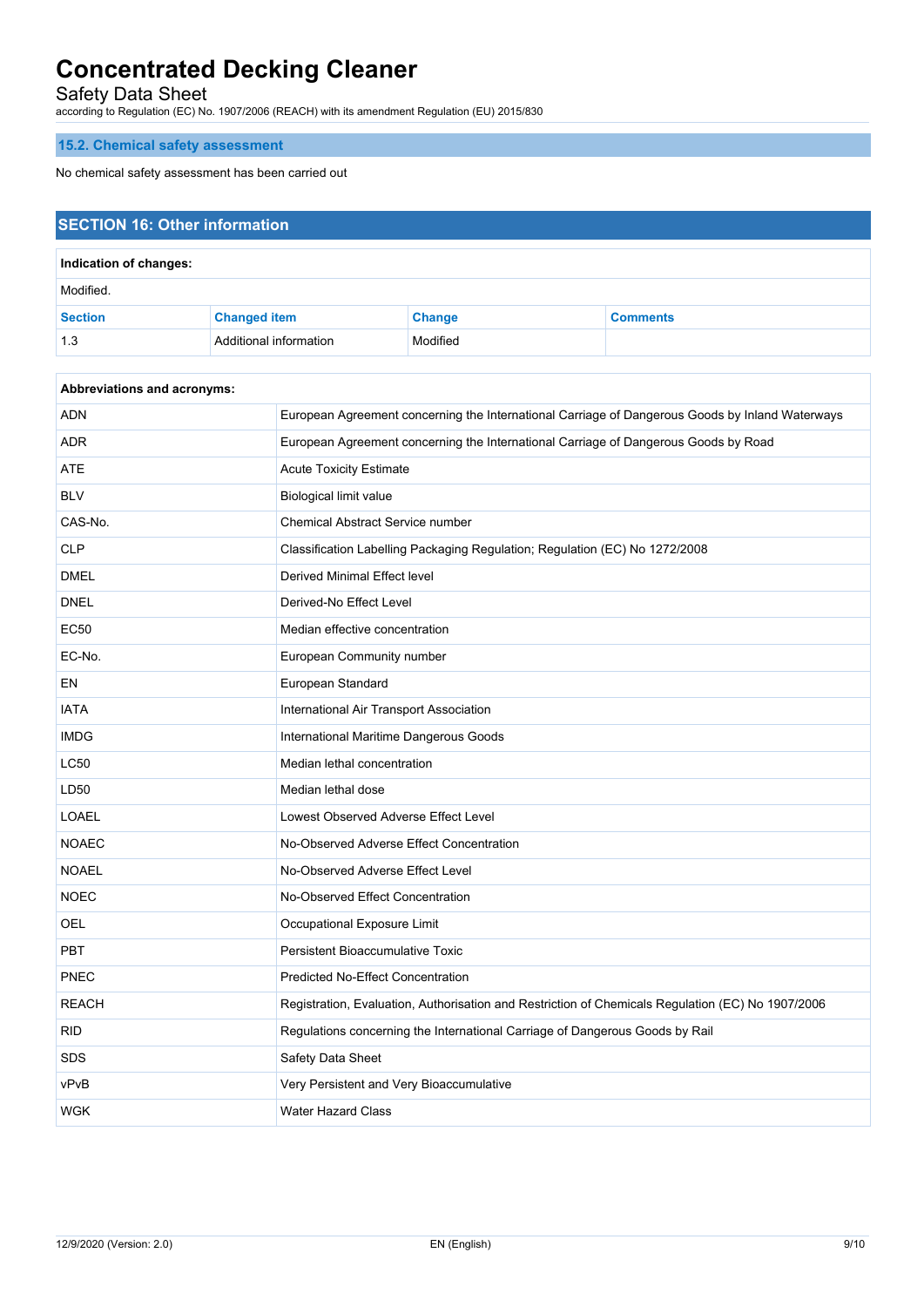Safety Data Sheet

according to Regulation (EC) No. 1907/2006 (REACH) with its amendment Regulation (EU) 2015/830

# **15.2. Chemical safety assessment**

No chemical safety assessment has been carried out

# **SECTION 16: Other information Indication of changes:** Modified. **Section Changed item Change Comments** 1.3 Additional information Modified

| <b>Abbreviations and acronyms:</b> |                                                                                                   |
|------------------------------------|---------------------------------------------------------------------------------------------------|
| <b>ADN</b>                         | European Agreement concerning the International Carriage of Dangerous Goods by Inland Waterways   |
| <b>ADR</b>                         | European Agreement concerning the International Carriage of Dangerous Goods by Road               |
| <b>ATE</b>                         | <b>Acute Toxicity Estimate</b>                                                                    |
| <b>BLV</b>                         | Biological limit value                                                                            |
| CAS-No.                            | Chemical Abstract Service number                                                                  |
| <b>CLP</b>                         | Classification Labelling Packaging Regulation; Regulation (EC) No 1272/2008                       |
| <b>DMEL</b>                        | Derived Minimal Effect level                                                                      |
| <b>DNEL</b>                        | Derived-No Effect Level                                                                           |
| <b>EC50</b>                        | Median effective concentration                                                                    |
| EC-No.                             | European Community number                                                                         |
| EN                                 | European Standard                                                                                 |
| <b>IATA</b>                        | International Air Transport Association                                                           |
| <b>IMDG</b>                        | International Maritime Dangerous Goods                                                            |
| <b>LC50</b>                        | Median lethal concentration                                                                       |
| LD50                               | Median lethal dose                                                                                |
| <b>LOAEL</b>                       | Lowest Observed Adverse Effect Level                                                              |
| <b>NOAEC</b>                       | No-Observed Adverse Effect Concentration                                                          |
| <b>NOAEL</b>                       | No-Observed Adverse Effect Level                                                                  |
| <b>NOEC</b>                        | No-Observed Effect Concentration                                                                  |
| <b>OEL</b>                         | Occupational Exposure Limit                                                                       |
| <b>PBT</b>                         | <b>Persistent Bioaccumulative Toxic</b>                                                           |
| <b>PNEC</b>                        | <b>Predicted No-Effect Concentration</b>                                                          |
| <b>REACH</b>                       | Registration, Evaluation, Authorisation and Restriction of Chemicals Regulation (EC) No 1907/2006 |
| <b>RID</b>                         | Regulations concerning the International Carriage of Dangerous Goods by Rail                      |
| <b>SDS</b>                         | Safety Data Sheet                                                                                 |
| vPvB                               | Very Persistent and Very Bioaccumulative                                                          |
| <b>WGK</b>                         | <b>Water Hazard Class</b>                                                                         |